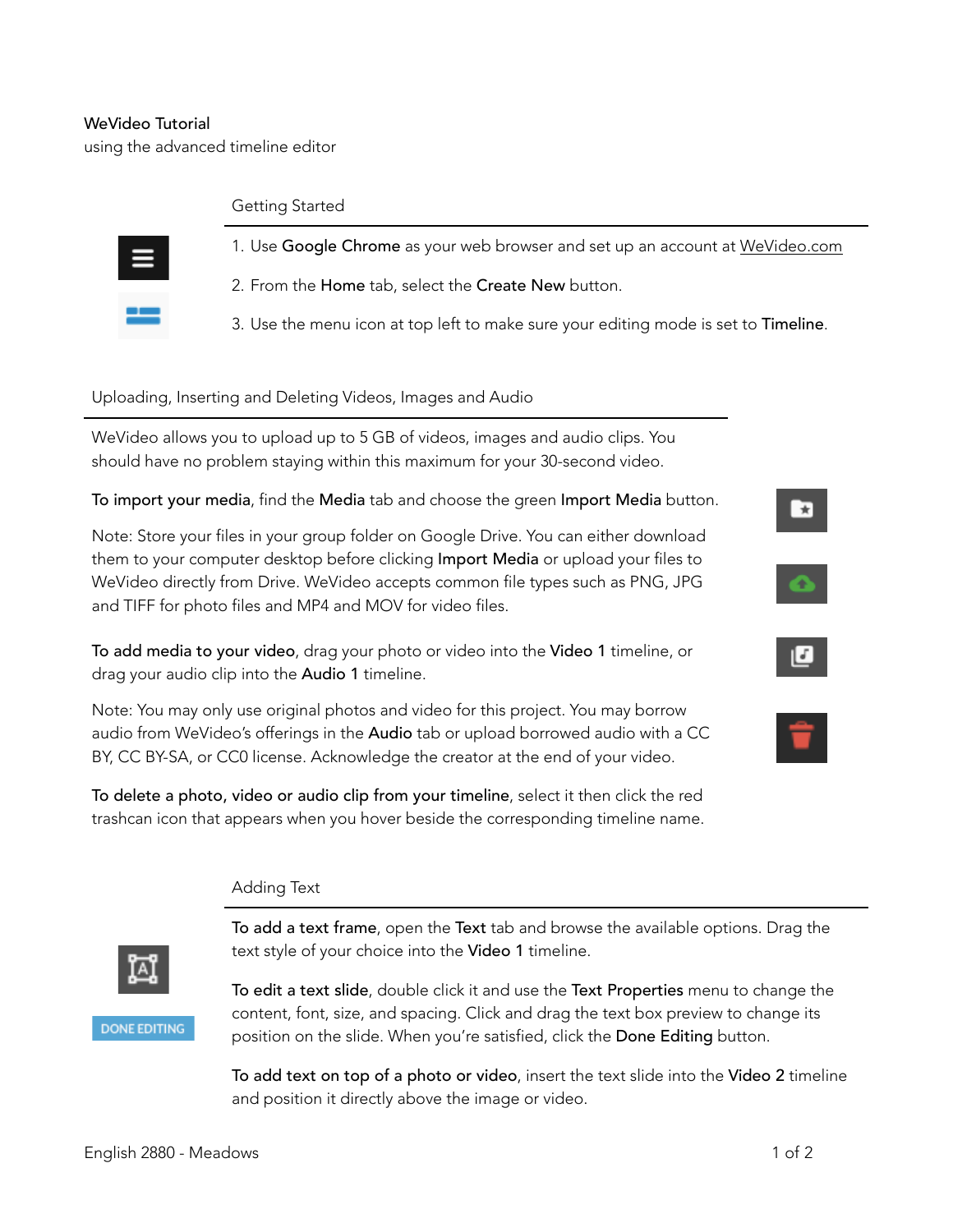# WeVideo Tutorial

using the advanced timeline editor

#### Getting Started



- 1. Use Google Chrome as your web browser and set up an account at [WeVideo.com](http://www.wevideo.com/)
- 2. From the Home tab, select the Create New button.
- 3. Use the menu icon at top left to make sure your editing mode is set to Timeline.

### Uploading, Inserting and Deleting Videos, Images and Audio

WeVideo allows you to upload up to 5 GB of videos, images and audio clips. You should have no problem staying within this maximum for your 30-second video.

To import your media, find the Media tab and choose the green Import Media button.

Note: Store your files in your group folder on Google Drive. You can either download them to your computer desktop before clicking Import Media or upload your files to WeVideo directly from Drive. WeVideo accepts common file types such as PNG, JPG and TIFF for photo files and MP4 and MOV for video files.

To add media to your video, drag your photo or video into the Video 1 timeline, or drag your audio clip into the Audio 1 timeline.

Note: You may only use original photos and video for this project. You may borrow audio from WeVideo's offerings in the Audio tab or upload borrowed audio with a CC BY, CC BY-SA, or CC0 license. Acknowledge the creator at the end of your video.

To delete a photo, video or audio clip from your timeline, select it then click the red trashcan icon that appears when you hover beside the corresponding timeline name.

## Adding Text



To add a text frame, open the Text tab and browse the available options. Drag the text style of your choice into the Video 1 timeline.

**DONE EDITING** 

To edit a text slide, double click it and use the Text Properties menu to change the content, font, size, and spacing. Click and drag the text box preview to change its position on the slide. When you're satisfied, click the Done Editing button.

To add text on top of a photo or video, insert the text slide into the Video 2 timeline and position it directly above the image or video.

[ क्र

 $\bullet$ 

 $\pmb{\mathbb{E}}$